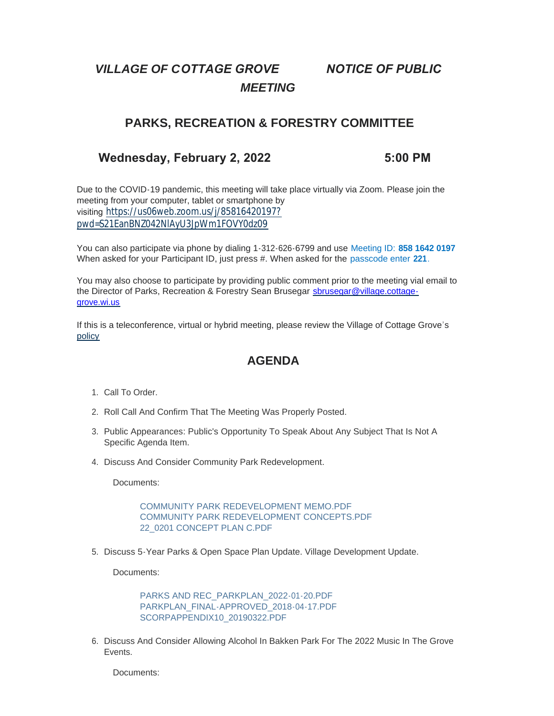# *VILLAGE OF COTTAGE GROVE NOTICE OF PUBLIC MEETING*

## **PARKS, RECREATION & FORESTRY COMMITTEE**

### **Wednesday, February 2, 2022 5:00 PM**

Due to the COVID-19 pandemic, this meeting will take place virtually via Zoom. Please join the meeting from your computer, tablet or smartphone by visiting [https://us06web.zoom.us/j/85816420197?](https://us06web.zoom.us/j/85816420197?pwd=S21EanBNZ042NlAyU3JpWm1FOVY0dz09) pwd=S21EanBNZ042NlAyU3JpWm1FOVY0dz09

You can also participate via phone by dialing 1-312-626-6799 and use Meeting ID: **858 1642 0197** When asked for your Participant ID, just press #. When asked for the passcode enter **221**.

You may also choose to participate by providing public comment prior to the meeting vial email to the Director of Parks, Recreation & Forestry Sean Brusegar sbrusegar@village.cottagegrove.wi.us

[If this](https://www.vi.cottagegrove.wi.gov/DocumentCenter/View/1850/Virtual-Hybrid-Tele-meeting-Policy-Final) is a teleconference, virtual or hybrid meeting, please review the Village of Cottage Grove's policy

### **AGENDA**

- 1. Call To Order.
- 2. Roll Call And Confirm That The Meeting Was Properly Posted.
- 3. Public Appearances: Public's Opportunity To Speak About Any Subject That Is Not A Specific Agenda Item.
- 4. Discuss And Consider Community Park Redevelopment.

Documents:

[COMMUNITY PARK REDEVELOPMENT MEMO.PDF](https://www.vi.cottagegrove.wi.gov/AgendaCenter/ViewFile/Item/9466?fileID=18568) [COMMUNITY PARK REDEVELOPMENT CONCEPTS.PDF](https://www.vi.cottagegrove.wi.gov/AgendaCenter/ViewFile/Item/9466?fileID=18569) [22\\_0201 CONCEPT PLAN C.PDF](https://www.vi.cottagegrove.wi.gov/AgendaCenter/ViewFile/Item/9466?fileID=18570)

5. Discuss 5-Year Parks & Open Space Plan Update. Village Development Update.

Documents:

[PARKS AND REC\\_PARKPLAN\\_2022-01-20.PDF](https://www.vi.cottagegrove.wi.gov/AgendaCenter/ViewFile/Item/9406?fileID=18478) [PARKPLAN\\_FINAL-APPROVED\\_2018-04-17.PDF](https://www.vi.cottagegrove.wi.gov/AgendaCenter/ViewFile/Item/9406?fileID=18479) [SCORPAPPENDIX10\\_20190322.PDF](https://www.vi.cottagegrove.wi.gov/AgendaCenter/ViewFile/Item/9406?fileID=18480)

6. Discuss And Consider Allowing Alcohol In Bakken Park For The 2022 Music In The Grove Events.

Documents: